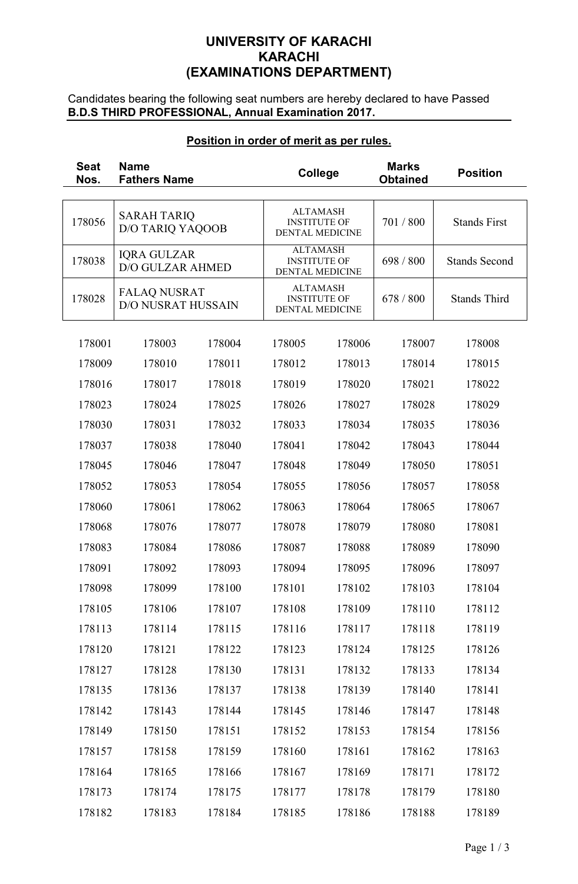# **UNIVERSITY OF KARACHI KARACHI (EXAMINATIONS DEPARTMENT)**

Candidates bearing the following seat numbers are hereby declared to have Passed **B.D.S THIRD PROFESSIONAL, Annual Examination 2017.** 

## **Position in order of merit as per rules.**

| <b>Seat</b><br>Nos. | <b>Name</b><br><b>Fathers Name</b>               |        | <b>College</b>                                                   |        | <b>Marks</b><br><b>Obtained</b> | <b>Position</b>      |
|---------------------|--------------------------------------------------|--------|------------------------------------------------------------------|--------|---------------------------------|----------------------|
| 178056              | <b>SARAH TARIQ</b><br><b>D/O TARIQ YAQOOB</b>    |        | <b>ALTAMASH</b><br><b>INSTITUTE OF</b><br><b>DENTAL MEDICINE</b> |        | 701 / 800                       | <b>Stands First</b>  |
| 178038              | <b>IQRA GULZAR</b><br><b>D/O GULZAR AHMED</b>    |        | <b>ALTAMASH</b><br><b>INSTITUTE OF</b><br><b>DENTAL MEDICINE</b> |        | 698 / 800                       | <b>Stands Second</b> |
| 178028              | <b>FALAQ NUSRAT</b><br><b>D/O NUSRAT HUSSAIN</b> |        | <b>ALTAMASH</b><br><b>INSTITUTE OF</b><br><b>DENTAL MEDICINE</b> |        | 678 / 800                       | <b>Stands Third</b>  |
| 178001              | 178003                                           | 178004 | 178005                                                           | 178006 | 178007                          | 178008               |
| 178009              | 178010                                           | 178011 | 178012                                                           | 178013 | 178014                          | 178015               |
| 178016              | 178017                                           | 178018 | 178019                                                           | 178020 | 178021                          | 178022               |
| 178023              | 178024                                           | 178025 | 178026                                                           | 178027 | 178028                          | 178029               |
| 178030              | 178031                                           | 178032 | 178033                                                           | 178034 | 178035                          | 178036               |
| 178037              | 178038                                           | 178040 | 178041                                                           | 178042 | 178043                          | 178044               |
| 178045              | 178046                                           | 178047 | 178048                                                           | 178049 | 178050                          | 178051               |
| 178052              | 178053                                           | 178054 | 178055                                                           | 178056 | 178057                          | 178058               |
| 178060              | 178061                                           | 178062 | 178063                                                           | 178064 | 178065                          | 178067               |
| 178068              | 178076                                           | 178077 | 178078                                                           | 178079 | 178080                          | 178081               |
| 178083              | 178084                                           | 178086 | 178087                                                           | 178088 | 178089                          | 178090               |
| 178091              | 178092                                           | 178093 | 178094                                                           | 178095 | 178096                          | 178097               |
| 178098              | 178099                                           | 178100 | 178101                                                           | 178102 | 178103                          | 178104               |
| 178105              | 178106                                           | 178107 | 178108                                                           | 178109 | 178110                          | 178112               |
| 178113              | 178114                                           | 178115 | 178116                                                           | 178117 | 178118                          | 178119               |
| 178120              | 178121                                           | 178122 | 178123                                                           | 178124 | 178125                          | 178126               |
| 178127              | 178128                                           | 178130 | 178131                                                           | 178132 | 178133                          | 178134               |
| 178135              | 178136                                           | 178137 | 178138                                                           | 178139 | 178140                          | 178141               |
| 178142              | 178143                                           | 178144 | 178145                                                           | 178146 | 178147                          | 178148               |
| 178149              | 178150                                           | 178151 | 178152                                                           | 178153 | 178154                          | 178156               |
| 178157              | 178158                                           | 178159 | 178160                                                           | 178161 | 178162                          | 178163               |
| 178164              | 178165                                           | 178166 | 178167                                                           | 178169 | 178171                          | 178172               |
| 178173              | 178174                                           | 178175 | 178177                                                           | 178178 | 178179                          | 178180               |
| 178182              | 178183                                           | 178184 | 178185                                                           | 178186 | 178188                          | 178189               |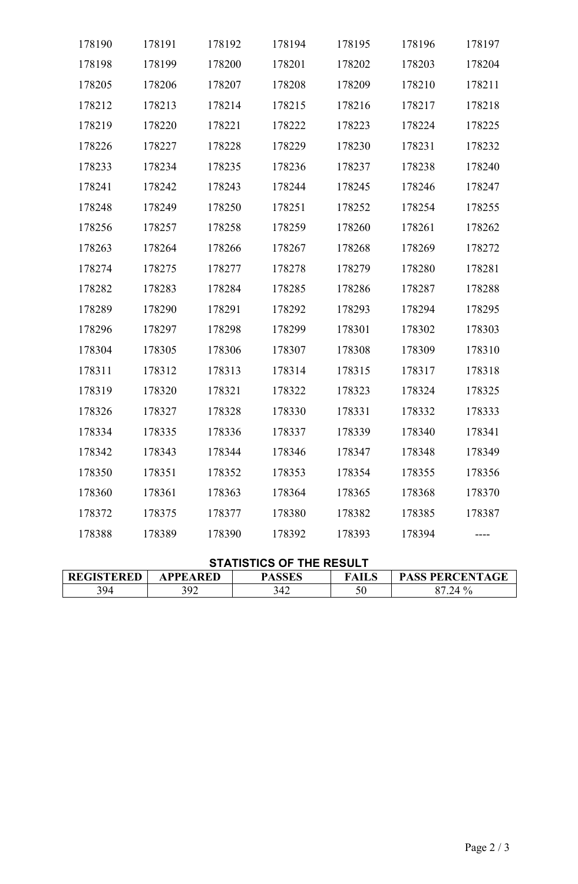| 178190 | 178191 | 178192 | 178194 | 178195 | 178196 | 178197 |
|--------|--------|--------|--------|--------|--------|--------|
| 178198 | 178199 | 178200 | 178201 | 178202 | 178203 | 178204 |
| 178205 | 178206 | 178207 | 178208 | 178209 | 178210 | 178211 |
| 178212 | 178213 | 178214 | 178215 | 178216 | 178217 | 178218 |
| 178219 | 178220 | 178221 | 178222 | 178223 | 178224 | 178225 |
| 178226 | 178227 | 178228 | 178229 | 178230 | 178231 | 178232 |
| 178233 | 178234 | 178235 | 178236 | 178237 | 178238 | 178240 |
| 178241 | 178242 | 178243 | 178244 | 178245 | 178246 | 178247 |
| 178248 | 178249 | 178250 | 178251 | 178252 | 178254 | 178255 |
| 178256 | 178257 | 178258 | 178259 | 178260 | 178261 | 178262 |
| 178263 | 178264 | 178266 | 178267 | 178268 | 178269 | 178272 |
| 178274 | 178275 | 178277 | 178278 | 178279 | 178280 | 178281 |
| 178282 | 178283 | 178284 | 178285 | 178286 | 178287 | 178288 |
| 178289 | 178290 | 178291 | 178292 | 178293 | 178294 | 178295 |
| 178296 | 178297 | 178298 | 178299 | 178301 | 178302 | 178303 |
| 178304 | 178305 | 178306 | 178307 | 178308 | 178309 | 178310 |
| 178311 | 178312 | 178313 | 178314 | 178315 | 178317 | 178318 |
| 178319 | 178320 | 178321 | 178322 | 178323 | 178324 | 178325 |
| 178326 | 178327 | 178328 | 178330 | 178331 | 178332 | 178333 |
| 178334 | 178335 | 178336 | 178337 | 178339 | 178340 | 178341 |
| 178342 | 178343 | 178344 | 178346 | 178347 | 178348 | 178349 |
| 178350 | 178351 | 178352 | 178353 | 178354 | 178355 | 178356 |
| 178360 | 178361 | 178363 | 178364 | 178365 | 178368 | 178370 |
| 178372 | 178375 | 178377 | 178380 | 178382 | 178385 | 178387 |
| 178388 | 178389 | 178390 | 178392 | 178393 | 178394 |        |

## **STATISTICS OF THE RESULT**

| <b>GISTERED</b><br><b>DD</b> | PPEARED | $\triangle$ CCT $c$ | FAILS | , PERCENTAGF<br><b>PASS</b> |
|------------------------------|---------|---------------------|-------|-----------------------------|
| 394                          | 202     | 342                 | 50    | 40                          |